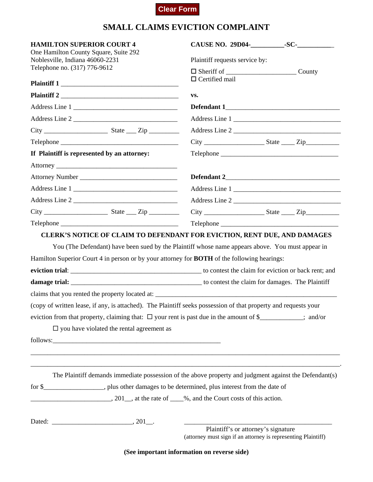## **Clear Form**

## **SMALL CLAIMS EVICTION COMPLAINT**

| <b>HAMILTON SUPERIOR COURT 4</b>                                                                             |                                                                                                                 |  |  |
|--------------------------------------------------------------------------------------------------------------|-----------------------------------------------------------------------------------------------------------------|--|--|
| One Hamilton County Square, Suite 292<br>Noblesville, Indiana 46060-2231                                     | Plaintiff requests service by:                                                                                  |  |  |
| Telephone no. (317) 776-9612                                                                                 | County                                                                                                          |  |  |
|                                                                                                              | $\Box$ Certified mail<br>VS.                                                                                    |  |  |
|                                                                                                              |                                                                                                                 |  |  |
| Address Line 1                                                                                               |                                                                                                                 |  |  |
|                                                                                                              |                                                                                                                 |  |  |
|                                                                                                              |                                                                                                                 |  |  |
|                                                                                                              |                                                                                                                 |  |  |
| If Plaintiff is represented by an attorney:                                                                  |                                                                                                                 |  |  |
|                                                                                                              |                                                                                                                 |  |  |
|                                                                                                              |                                                                                                                 |  |  |
| Address Line 1                                                                                               |                                                                                                                 |  |  |
| Address Line 2                                                                                               |                                                                                                                 |  |  |
|                                                                                                              |                                                                                                                 |  |  |
|                                                                                                              |                                                                                                                 |  |  |
| Hamilton Superior Court 4 in person or by your attorney for <b>BOTH</b> of the following hearings:           |                                                                                                                 |  |  |
|                                                                                                              | (copy of written lease, if any, is attached). The Plaintiff seeks possession of that property and requests your |  |  |
|                                                                                                              | eviction from that property, claiming that: $\Box$ your rent is past due in the amount of \$_________; and/or   |  |  |
| $\square$ you have violated the rental agreement as                                                          |                                                                                                                 |  |  |
|                                                                                                              |                                                                                                                 |  |  |
|                                                                                                              |                                                                                                                 |  |  |
|                                                                                                              |                                                                                                                 |  |  |
|                                                                                                              | The Plaintiff demands immediate possession of the above property and judgment against the Defendant(s)          |  |  |
| for \$_____________________, plus other damages to be determined, plus interest from the date of             |                                                                                                                 |  |  |
| $\frac{1}{201}$ , 201 $\frac{1}{201}$ , at the rate of $\frac{1}{201}$ , and the Court costs of this action. |                                                                                                                 |  |  |
|                                                                                                              |                                                                                                                 |  |  |
|                                                                                                              | Plaintiff's or attorney's signature<br>(attorney must sign if an attorney is representing Plaintiff)            |  |  |
|                                                                                                              | (See important information on reverse side)                                                                     |  |  |